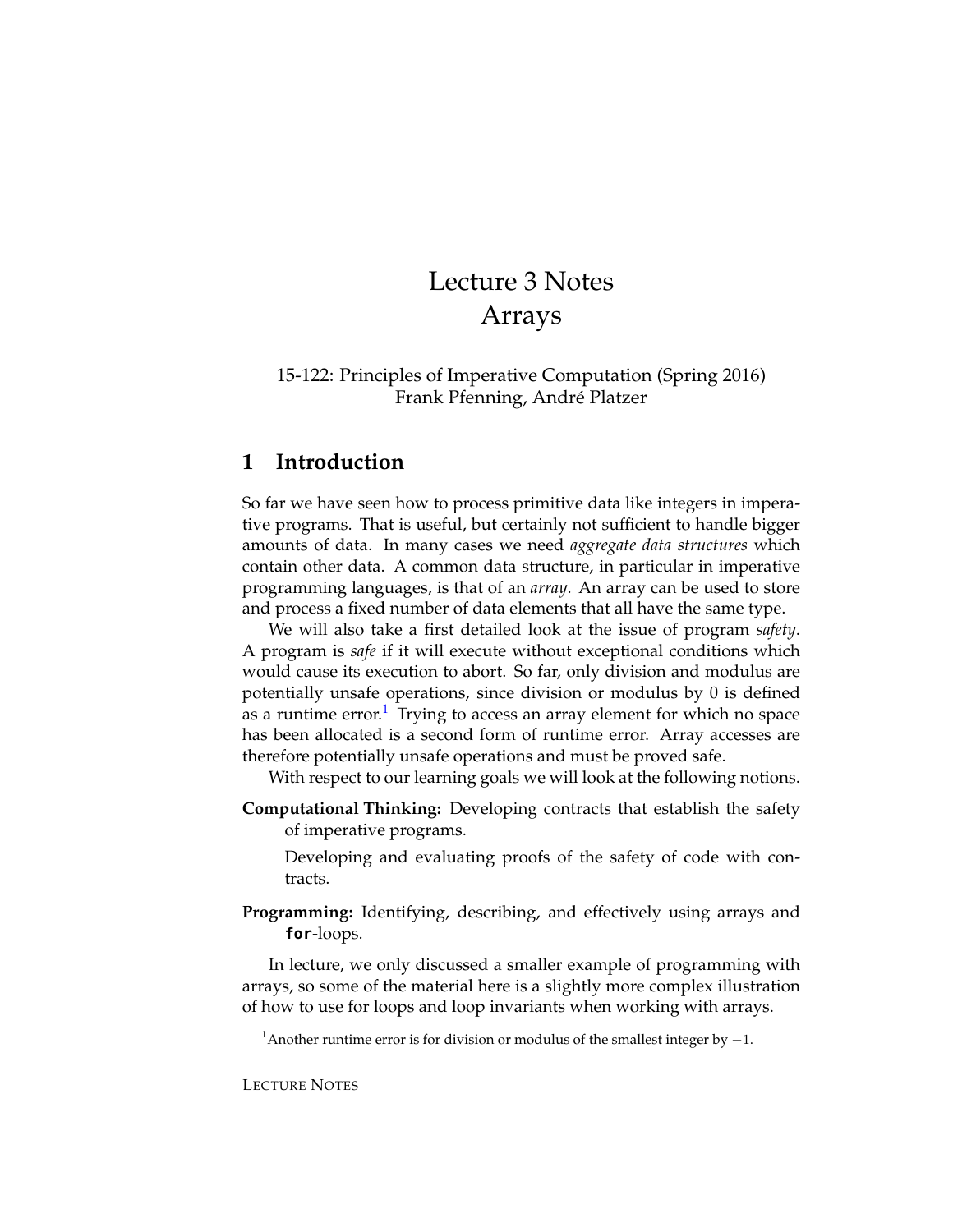# Lecture 3 Notes Arrays

#### 15-122: Principles of Imperative Computation (Spring 2016) Frank Pfenning, André Platzer

## **1 Introduction**

So far we have seen how to process primitive data like integers in imperative programs. That is useful, but certainly not sufficient to handle bigger amounts of data. In many cases we need *aggregate data structures* which contain other data. A common data structure, in particular in imperative programming languages, is that of an *array*. An array can be used to store and process a fixed number of data elements that all have the same type.

We will also take a first detailed look at the issue of program *safety*. A program is *safe* if it will execute without exceptional conditions which would cause its execution to abort. So far, only division and modulus are potentially unsafe operations, since division or modulus by 0 is defined as a runtime error.<sup>[1](#page-0-0)</sup> Trying to access an array element for which no space has been allocated is a second form of runtime error. Array accesses are therefore potentially unsafe operations and must be proved safe.

With respect to our learning goals we will look at the following notions.

**Computational Thinking:** Developing contracts that establish the safety of imperative programs.

Developing and evaluating proofs of the safety of code with contracts.

**Programming:** Identifying, describing, and effectively using arrays and **for**-loops.

In lecture, we only discussed a smaller example of programming with arrays, so some of the material here is a slightly more complex illustration of how to use for loops and loop invariants when working with arrays.

<span id="page-0-0"></span><sup>&</sup>lt;sup>1</sup>Another runtime error is for division or modulus of the smallest integer by  $-1$ .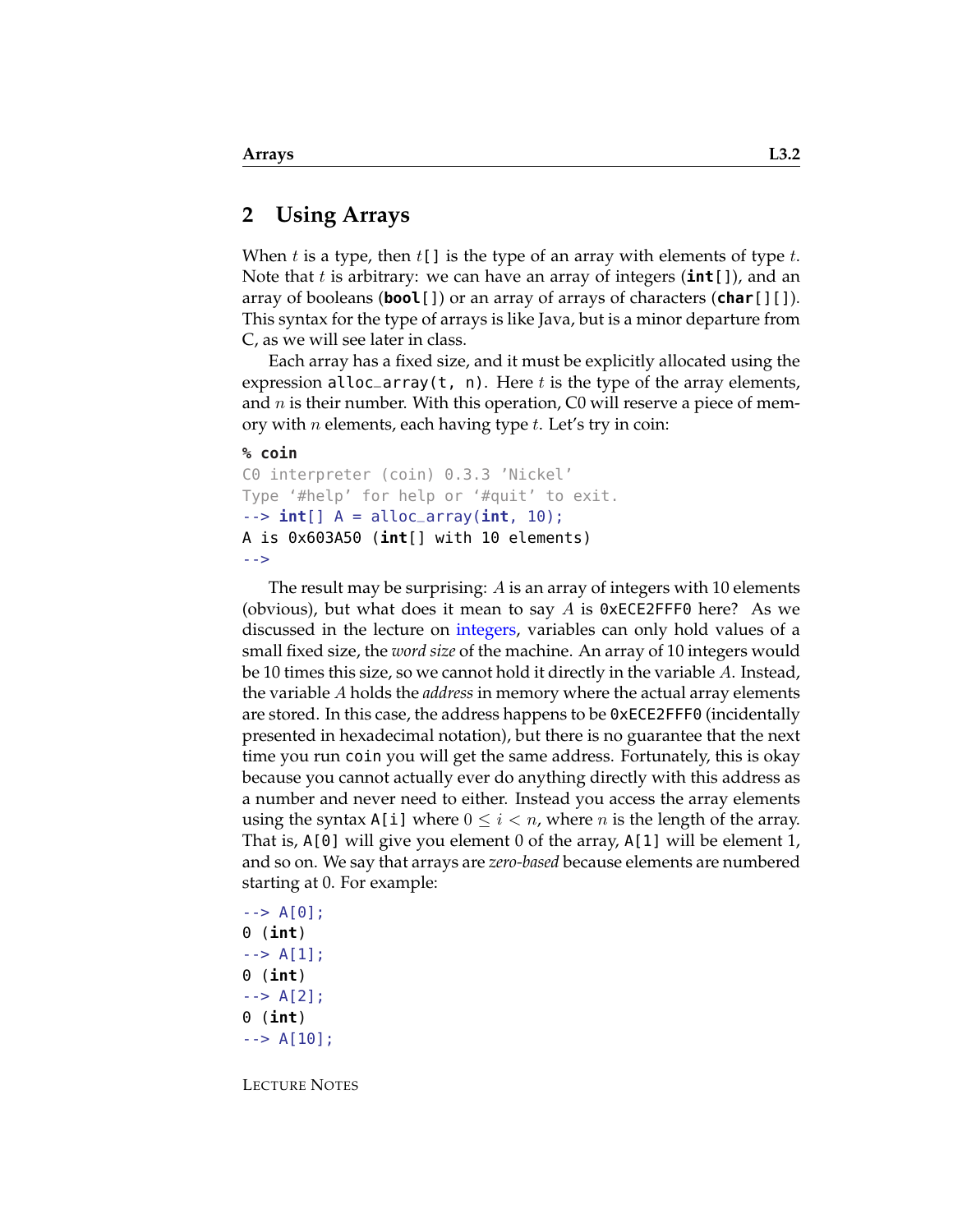#### **2 Using Arrays**

When t is a type, then  $t[]$  is the type of an array with elements of type t. Note that t is arbitrary: we can have an array of integers (**int**[]), and an array of booleans (**bool**[]) or an array of arrays of characters (**char**[][]). This syntax for the type of arrays is like Java, but is a minor departure from C, as we will see later in class.

Each array has a fixed size, and it must be explicitly allocated using the expression alloc\_array(t, n). Here t is the type of the array elements, and  $n$  is their number. With this operation, C0 will reserve a piece of memory with *n* elements, each having type  $t$ . Let's try in coin:

#### **% coin**

```
C0 interpreter (coin) 0.3.3 'Nickel'
Type '#help' for help or '#quit' to exit.
--> int[] A = alloc_array(int, 10);
A is 0x603A50 (int[] with 10 elements)
-->
```
The result may be surprising: A is an array of integers with 10 elements (obvious), but what does it mean to say A is  $\theta \times \text{ECE2FFF0}$  here? As we discussed in the lecture on [integers,](http://www.cs.cmu.edu/~rjsimmon/15122-m14/lec/02-ints.pdf) variables can only hold values of a small fixed size, the *word size* of the machine. An array of 10 integers would be 10 times this size, so we cannot hold it directly in the variable A. Instead, the variable A holds the *address* in memory where the actual array elements are stored. In this case, the address happens to be 0xECE2FFF0 (incidentally presented in hexadecimal notation), but there is no guarantee that the next time you run coin you will get the same address. Fortunately, this is okay because you cannot actually ever do anything directly with this address as a number and never need to either. Instead you access the array elements using the syntax  $A[i]$  where  $0 \leq i < n$ , where *n* is the length of the array. That is, A[0] will give you element 0 of the array, A[1] will be element 1, and so on. We say that arrays are *zero-based* because elements are numbered starting at 0. For example:

```
\leftarrow > A[0];
0 (int)
\leftarrow > A[1];
0 (int)
\leftarrow > A[2];
0 (int)
--> A[10];
```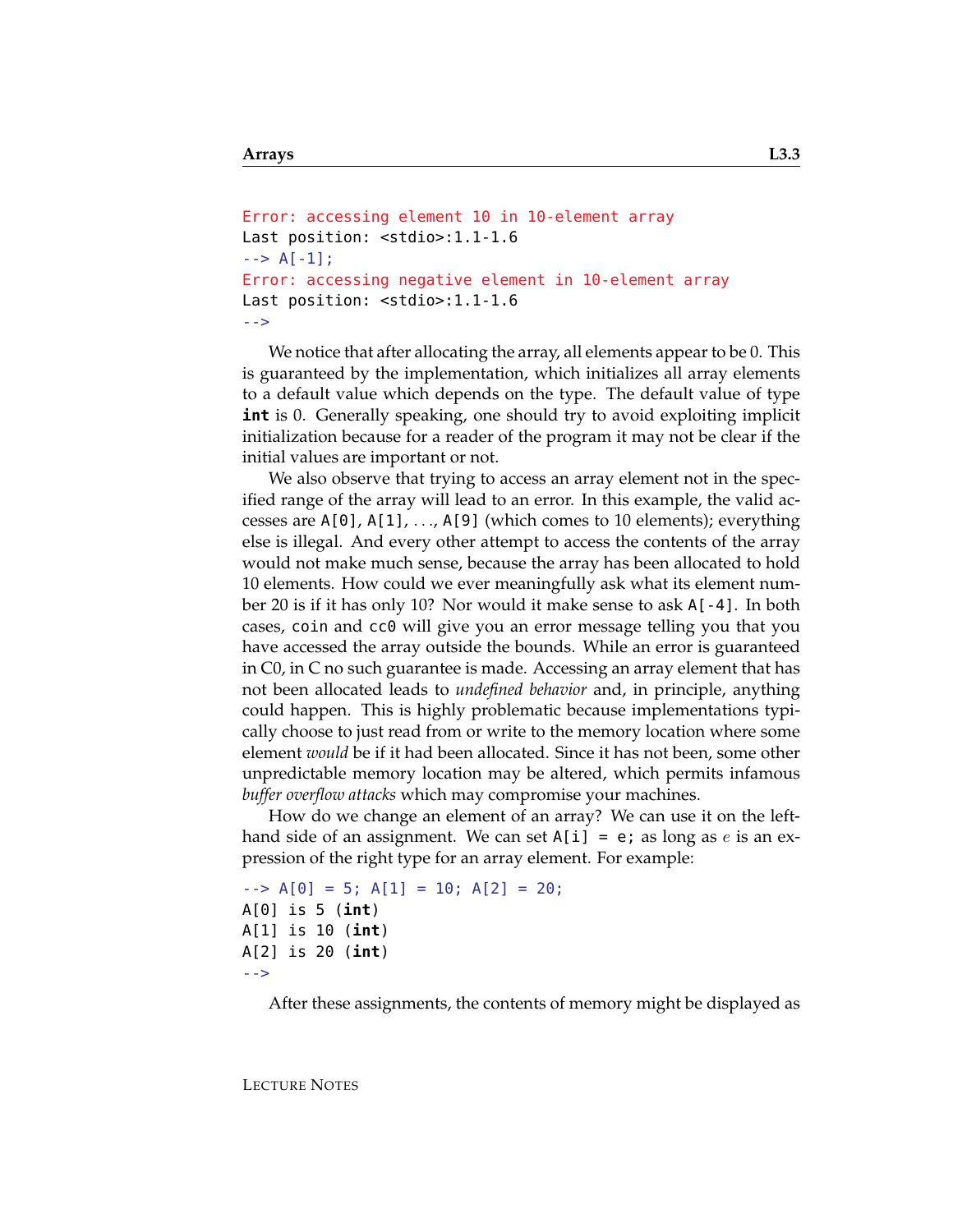```
Error: accessing element 10 in 10-element array
Last position: <stdio>:1.1-1.6
\leftarrow > A[-1];
Error: accessing negative element in 10-element array
Last position: <stdio>:1.1-1.6
-->
```
We notice that after allocating the array, all elements appear to be 0. This is guaranteed by the implementation, which initializes all array elements to a default value which depends on the type. The default value of type **int** is 0. Generally speaking, one should try to avoid exploiting implicit initialization because for a reader of the program it may not be clear if the initial values are important or not.

We also observe that trying to access an array element not in the specified range of the array will lead to an error. In this example, the valid accesses are A[0], A[1], . . ., A[9] (which comes to 10 elements); everything else is illegal. And every other attempt to access the contents of the array would not make much sense, because the array has been allocated to hold 10 elements. How could we ever meaningfully ask what its element number 20 is if it has only 10? Nor would it make sense to ask A[-4]. In both cases, coin and cc0 will give you an error message telling you that you have accessed the array outside the bounds. While an error is guaranteed in C0, in C no such guarantee is made. Accessing an array element that has not been allocated leads to *undefined behavior* and, in principle, anything could happen. This is highly problematic because implementations typically choose to just read from or write to the memory location where some element *would* be if it had been allocated. Since it has not been, some other unpredictable memory location may be altered, which permits infamous *buffer overflow attacks* which may compromise your machines.

How do we change an element of an array? We can use it on the lefthand side of an assignment. We can set  $A[i] = e$ ; as long as e is an expression of the right type for an array element. For example:

```
- > A[0] = 5; A[1] = 10; A[2] = 20;
A[0] is 5 (int)
A[1] is 10 (int)
A[2] is 20 (int)
-->
```
After these assignments, the contents of memory might be displayed as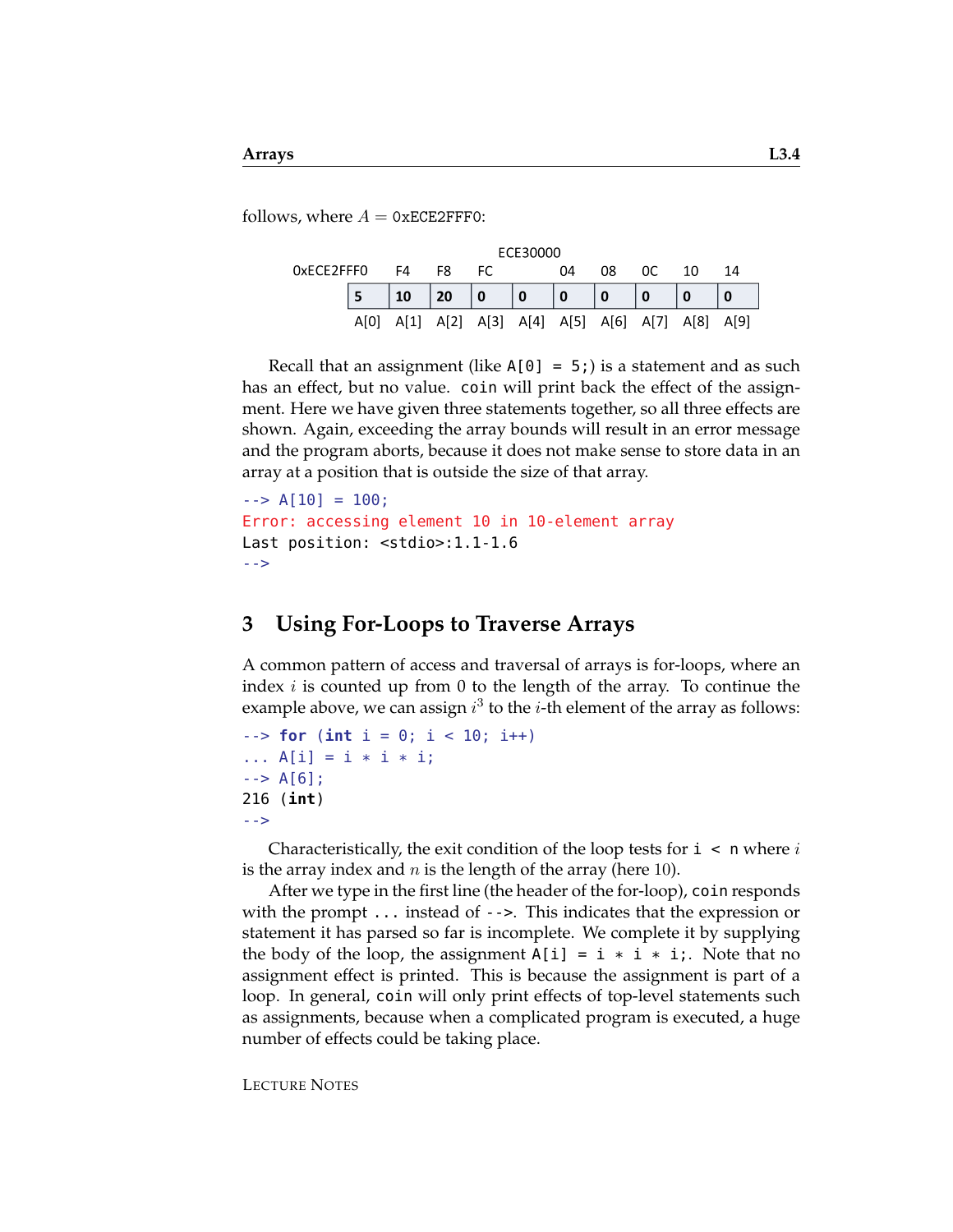follows, where  $A = 0xECE2FFF0$ :

| ECE30000   |      |      |            |                |                |                     |     |      |      |       |
|------------|------|------|------------|----------------|----------------|---------------------|-----|------|------|-------|
| 0xECE2FFF0 |      | F4   | F8         | FC.            |                | 04                  | 08  | 0C   | 10   | 14    |
|            |      | 10   | $\vert$ 20 | $\overline{0}$ | $\overline{0}$ | 0                   | l 0 |      |      |       |
|            | AMOI | A[1] | A[2]       |                |                | A[3] A[4] A[5] A[6] |     | A[7] | A[8] | -A[9] |

Recall that an assignment (like  $A[0] = 5$ ;) is a statement and as such has an effect, but no value. coin will print back the effect of the assignment. Here we have given three statements together, so all three effects are shown. Again, exceeding the array bounds will result in an error message and the program aborts, because it does not make sense to store data in an array at a position that is outside the size of that array.

```
\text{-} > \text{A} [10] = 100;Error: accessing element 10 in 10-element array
Last position: <stdio>:1.1-1.6
-->
```
# **3 Using For-Loops to Traverse Arrays**

A common pattern of access and traversal of arrays is for-loops, where an index  $i$  is counted up from 0 to the length of the array. To continue the example above, we can assign  $i^3$  to the *i*-th element of the array as follows:

```
--> for (int i = 0; i < 10; i++)
... A[i] = i * i * i;\leftarrow > A[6];
216 (int)
-->
```
Characteristically, the exit condition of the loop tests for  $i \lt n$  where i is the array index and  $n$  is the length of the array (here 10).

After we type in the first line (the header of the for-loop), coin responds with the prompt ... instead of -->. This indicates that the expression or statement it has parsed so far is incomplete. We complete it by supplying the body of the loop, the assignment  $A[i] = i * i * i;$ . Note that no assignment effect is printed. This is because the assignment is part of a loop. In general, coin will only print effects of top-level statements such as assignments, because when a complicated program is executed, a huge number of effects could be taking place.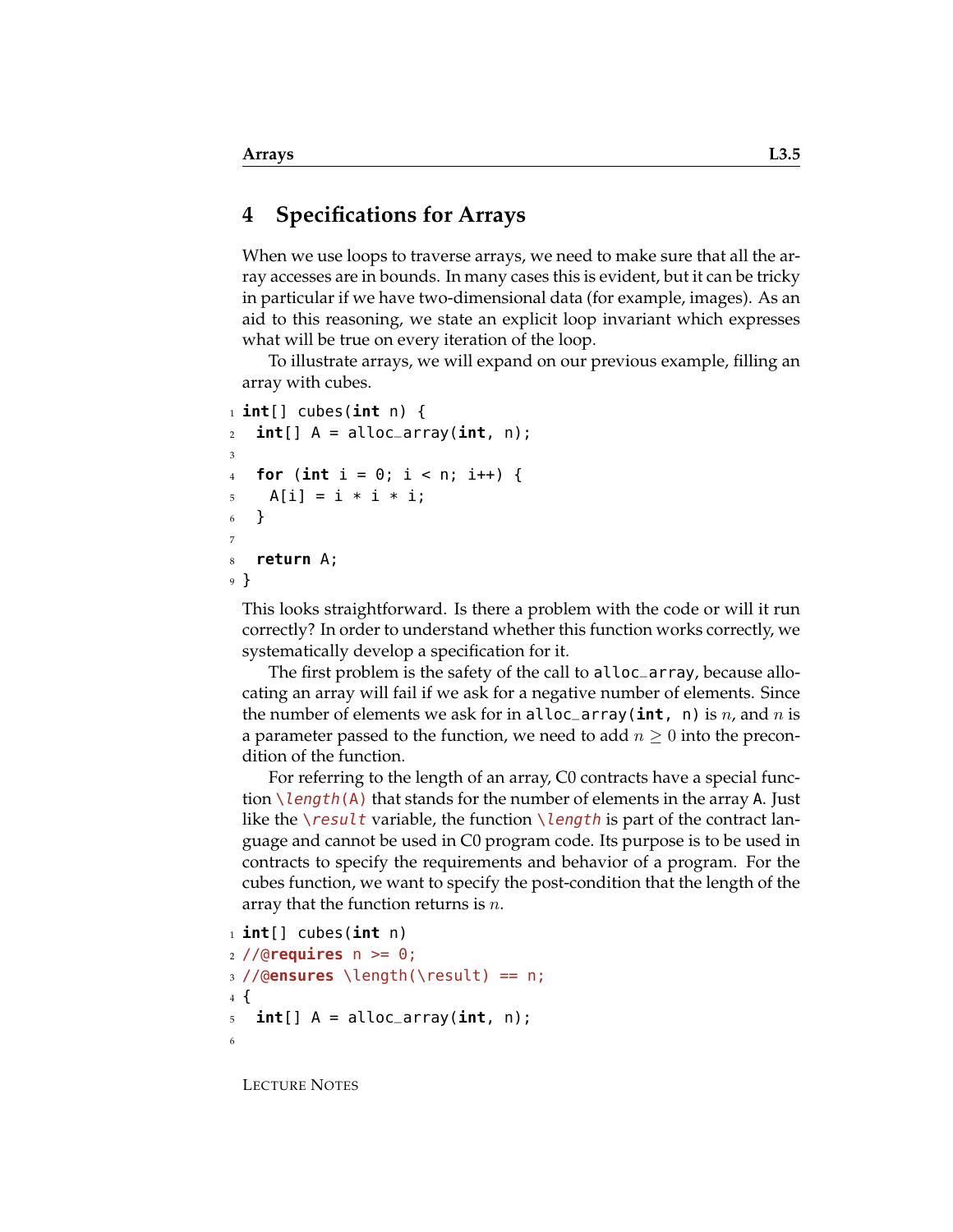### **4 Specifications for Arrays**

When we use loops to traverse arrays, we need to make sure that all the array accesses are in bounds. In many cases this is evident, but it can be tricky in particular if we have two-dimensional data (for example, images). As an aid to this reasoning, we state an explicit loop invariant which expresses what will be true on every iteration of the loop.

To illustrate arrays, we will expand on our previous example, filling an array with cubes.

```
1 int[] cubes(int n) {
\mathbf{int} [] \mathbf{A} = alloc_array(\mathbf{int}, n);
3
4 for (int i = 0; i < n; i++) {
5 \text{ A[i]} = i * i * i;6 }
7
8 return A;
9 }
```
This looks straightforward. Is there a problem with the code or will it run correctly? In order to understand whether this function works correctly, we systematically develop a specification for it.

The first problem is the safety of the call to alloc\_array, because allocating an array will fail if we ask for a negative number of elements. Since the number of elements we ask for in  $\text{alloc\_array}(\text{int}, n)$  is n, and n is a parameter passed to the function, we need to add  $n \geq 0$  into the precondition of the function.

For referring to the length of an array, C0 contracts have a special function  $\lambda$  length(A) that stands for the number of elements in the array A. Just like the  $\gamma$  result variable, the function  $\gamma$  length is part of the contract language and cannot be used in C0 program code. Its purpose is to be used in contracts to specify the requirements and behavior of a program. For the cubes function, we want to specify the post-condition that the length of the array that the function returns is  $n$ .

```
1 int[] cubes(int n)
2 //@requires n >= 0;
3 //@ensures \length(\result) == n;
4 {
5 int[] A = alloc_array(int, n);
6
```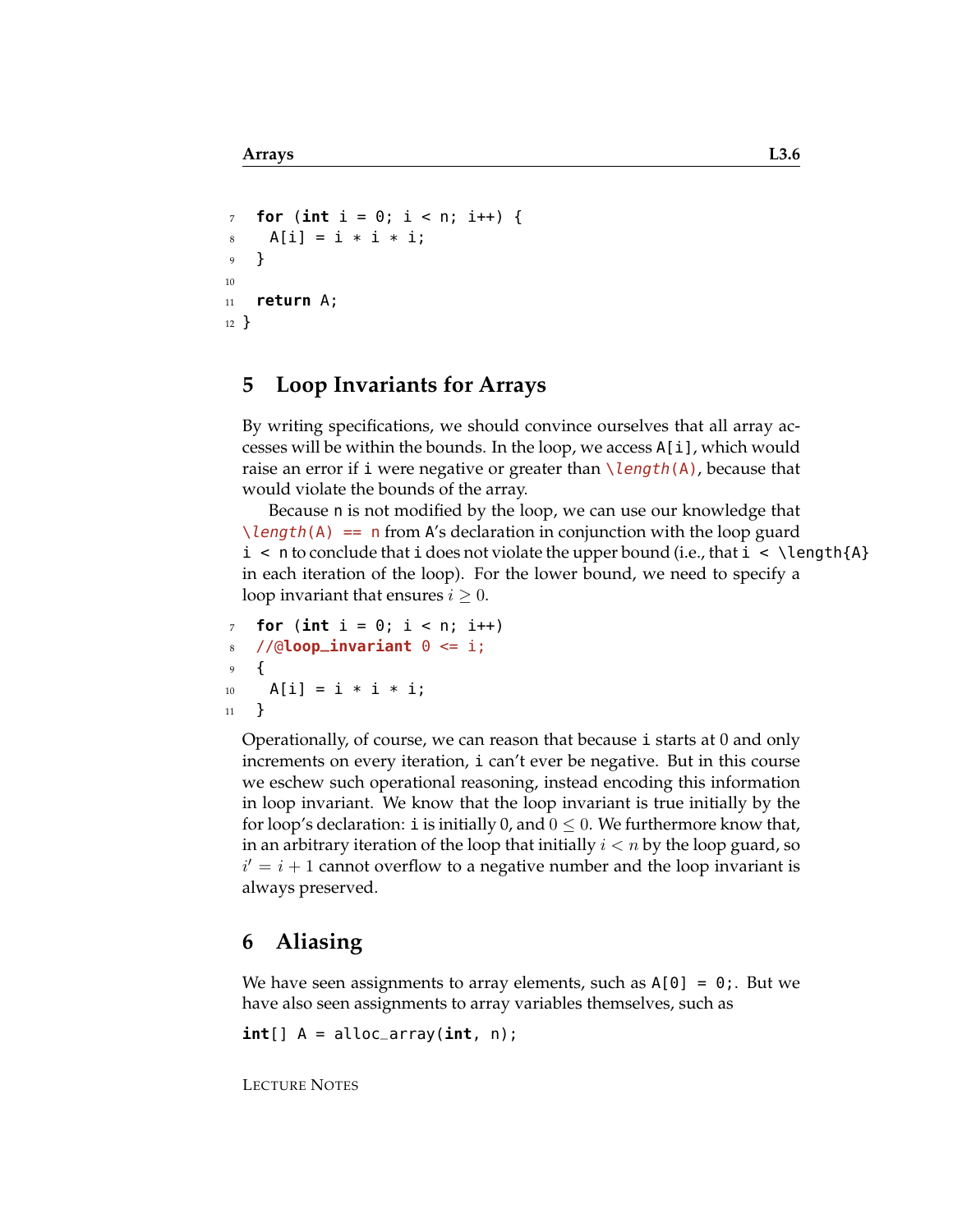```
7 for (int i = 0; i < n; i++) {
8 A[i] = i * i * i;
9 }
10
11 return A;
12 }
```
## **5 Loop Invariants for Arrays**

By writing specifications, we should convince ourselves that all array accesses will be within the bounds. In the loop, we access A[i], which would raise an error if i were negative or greater than  $\lambda$ length(A), because that would violate the bounds of the array.

Because n is not modified by the loop, we can use our knowledge that  $\lambda$ length(A) == n from A's declaration in conjunction with the loop guard  $i < n$  to conclude that i does not violate the upper bound (i.e., that  $i < \lceil \text{a} \rceil$ in each iteration of the loop). For the lower bound, we need to specify a loop invariant that ensures  $i \geq 0$ .

```
for (int i = 0; i < n; i++)//@loop_invariant <math>0 \leq i</math>;9 {
10 A[i] = i * i * i;11 }
```
Operationally, of course, we can reason that because i starts at 0 and only increments on every iteration, i can't ever be negative. But in this course we eschew such operational reasoning, instead encoding this information in loop invariant. We know that the loop invariant is true initially by the for loop's declaration: i is initially 0, and  $0 \leq 0$ . We furthermore know that, in an arbitrary iteration of the loop that initially  $i < n$  by the loop guard, so  $i' = i + 1$  cannot overflow to a negative number and the loop invariant is always preserved.

### **6 Aliasing**

We have seen assignments to array elements, such as  $A[0] = 0$ ; But we have also seen assignments to array variables themselves, such as

**int**[] A = alloc\_array(**int**, n);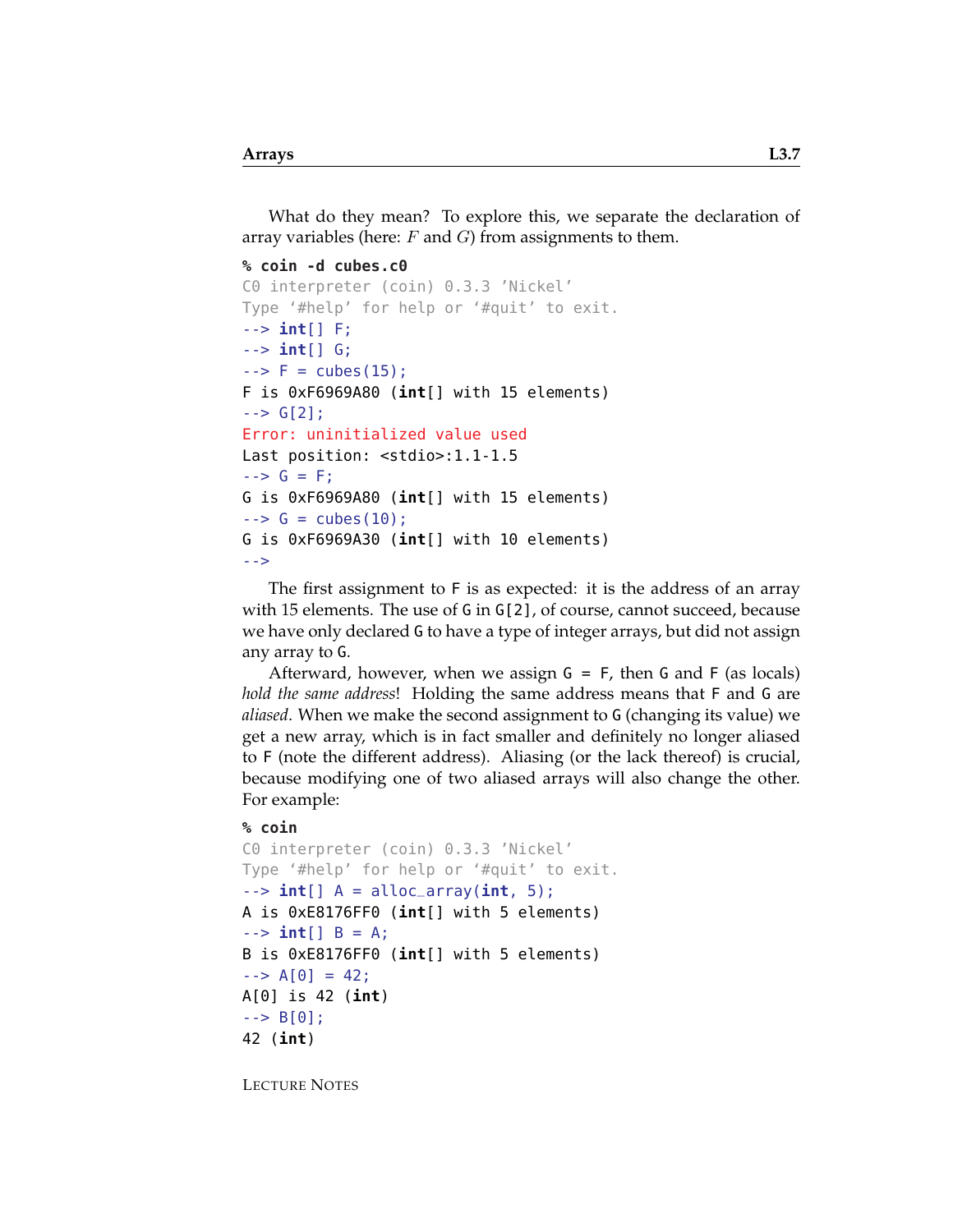What do they mean? To explore this, we separate the declaration of array variables (here:  $F$  and  $G$ ) from assignments to them.

**% coin -d cubes.c0**

```
C0 interpreter (coin) 0.3.3 'Nickel'
Type '#help' for help or '#quit' to exit.
--> int[] F;
--> int[] G;
-5 F = cubes(15);
F is 0xF6969A80 (int[] with 15 elements)
\leftarrow > G[2];
Error: uninitialized value used
Last position: <stdio>:1.1-1.5
\leftarrow > G = F;
G is 0xF6969A80 (int[] with 15 elements)
\leftarrow > G = cubes(10);
G is 0xF6969A30 (int[] with 10 elements)
-->
```
The first assignment to F is as expected: it is the address of an array with 15 elements. The use of G in G[2], of course, cannot succeed, because we have only declared G to have a type of integer arrays, but did not assign any array to G.

Afterward, however, when we assign G = F, then G and F (as locals) *hold the same address*! Holding the same address means that F and G are *aliased*. When we make the second assignment to G (changing its value) we get a new array, which is in fact smaller and definitely no longer aliased to F (note the different address). Aliasing (or the lack thereof) is crucial, because modifying one of two aliased arrays will also change the other. For example:

#### **% coin**

```
C0 interpreter (coin) 0.3.3 'Nickel'
Type '#help' for help or '#quit' to exit.
--> int[] A = alloc_array(int, 5);
A is 0xE8176FF0 (int[] with 5 elements)
--> int[] B = A;
B is 0xE8176FF0 (int[] with 5 elements)
\left[-\right] = 42;
A[0] is 42 (int)
\leftarrow > B[0];
42 (int)
```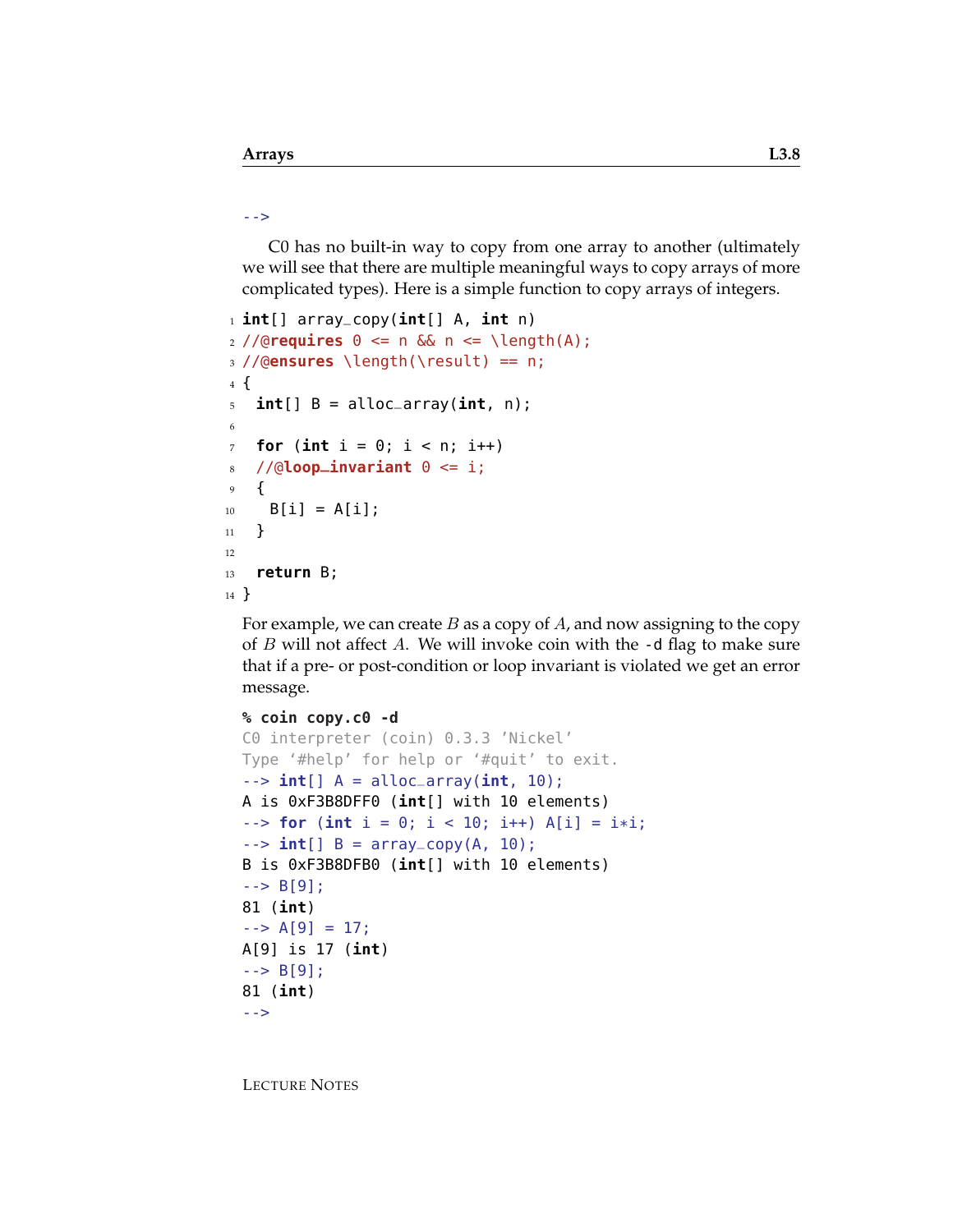#### -->

C0 has no built-in way to copy from one array to another (ultimately we will see that there are multiple meaningful ways to copy arrays of more complicated types). Here is a simple function to copy arrays of integers.

```
1 int[] array_copy(int[] A, int n)
2 //@requires 0 <= n && n <= \length(A);
3 //@ensures \length(\result) == n;
4 {
5 int[] B = alloc_array(int, n);
6
7 for (int i = 0; i < n; i++)\frac{s}{\sqrt{6}}loop_invariant \theta \leq i;
9 {
_{10} B[i] = A[i];11 }
12
13 return B;
14 }
```
For example, we can create  $B$  as a copy of  $A$ , and now assigning to the copy of  $B$  will not affect  $A$ . We will invoke coin with the  $-$ d flag to make sure that if a pre- or post-condition or loop invariant is violated we get an error message.

```
% coin copy.c0 -d
C0 interpreter (coin) 0.3.3 'Nickel'
Type '#help' for help or '#quit' to exit.
--> int[] A = alloc_array(int, 10);
A is 0xF3B8DFF0 (int[] with 10 elements)
- > for (int i = 0; i < 10; i++) A[i] = i*i;
\left[-\right] int[] B = array_copy(A, 10);
B is 0xF3B8DFB0 (int[] with 10 elements)
\left[-\right] - \left[-\right] B[9];
81 (int)
\leftarrow > A[9] = 17;
A[9] is 17 (int)
\leftarrow > B[9];
81 (int)
-->
```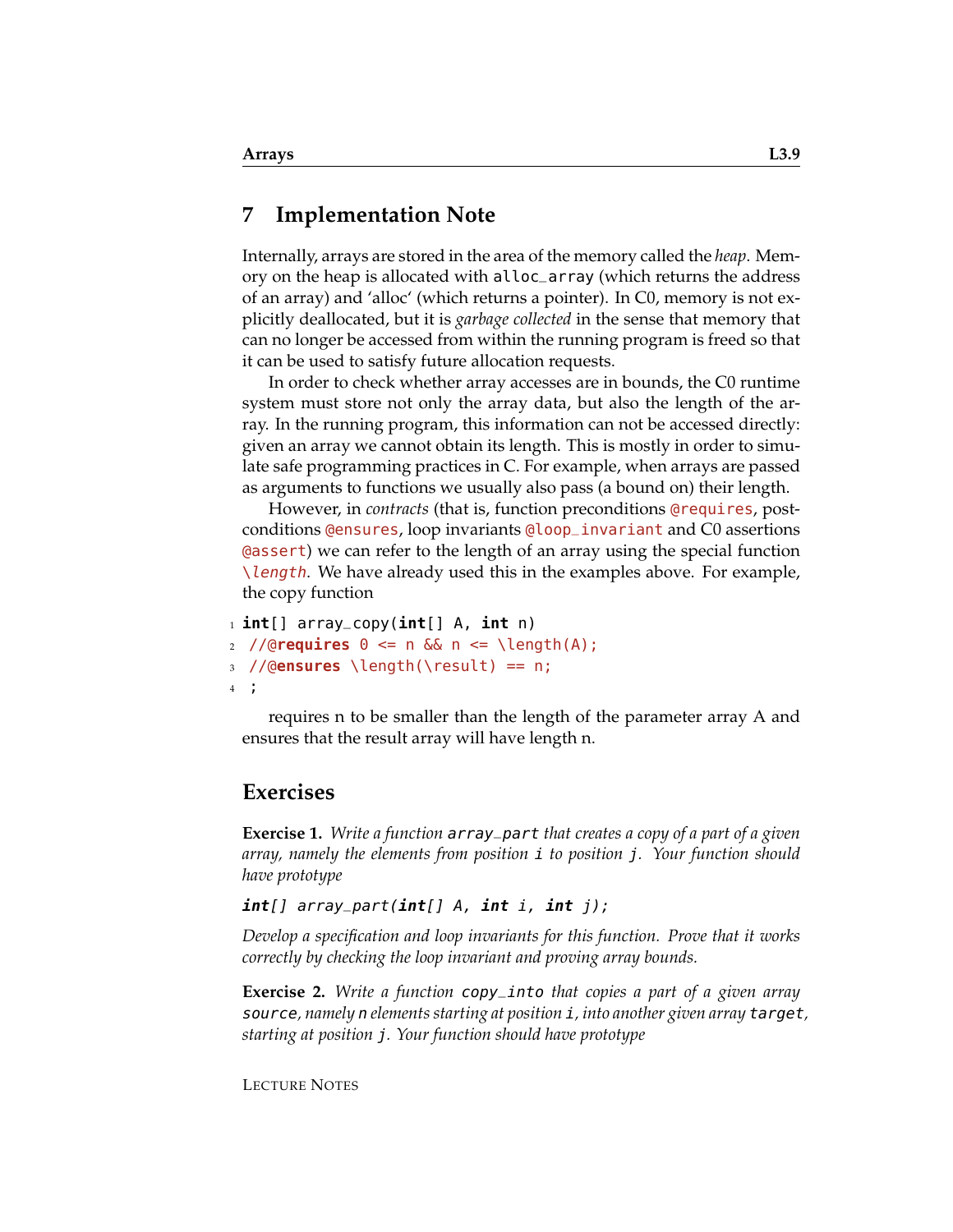### **7 Implementation Note**

Internally, arrays are stored in the area of the memory called the *heap*. Memory on the heap is allocated with alloc\_array (which returns the address of an array) and 'alloc' (which returns a pointer). In C0, memory is not explicitly deallocated, but it is *garbage collected* in the sense that memory that can no longer be accessed from within the running program is freed so that it can be used to satisfy future allocation requests.

In order to check whether array accesses are in bounds, the C0 runtime system must store not only the array data, but also the length of the array. In the running program, this information can not be accessed directly: given an array we cannot obtain its length. This is mostly in order to simulate safe programming practices in C. For example, when arrays are passed as arguments to functions we usually also pass (a bound on) their length.

However, in *contracts* (that is, function preconditions @requires, postconditions @ensures, loop invariants @loop\_invariant and C0 assertions @assert) we can refer to the length of an array using the special function \length. We have already used this in the examples above. For example, the copy function

```
1 int[] array_copy(int[] A, int n)
2 //@requires 0 <= n && n <= \length(A);
3 //@ensures \length(\result) == n;
4 ;
```
requires n to be smaller than the length of the parameter array A and ensures that the result array will have length n.

### **Exercises**

**Exercise 1.** *Write a function* array\_part *that creates a copy of a part of a given array, namely the elements from position* i *to position* j*. Your function should have prototype*

#### **int**[] array\_part(**int**[] A, **int** i, **int** j);

*Develop a specification and loop invariants for this function. Prove that it works correctly by checking the loop invariant and proving array bounds.*

**Exercise 2.** *Write a function* copy\_into *that copies a part of a given array* source*, namely* n *elements starting at position* i*, into another given array* target*, starting at position* j*. Your function should have prototype*